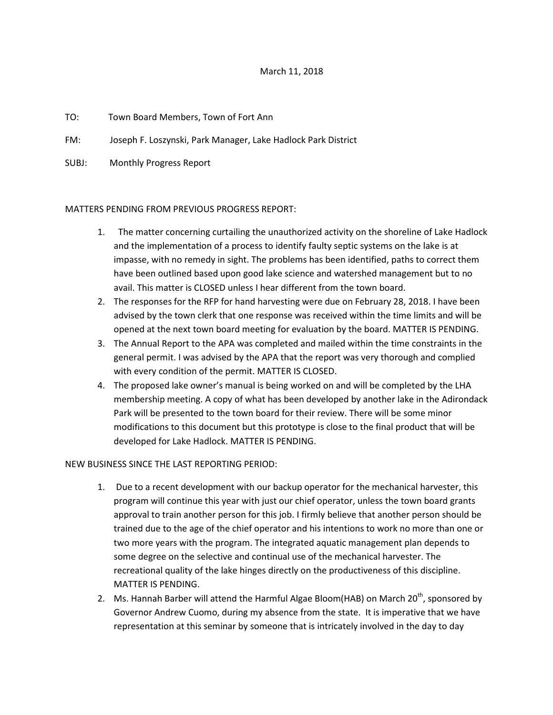## March 11, 2018

## TO: Town Board Members, Town of Fort Ann

FM: Joseph F. Loszynski, Park Manager, Lake Hadlock Park District

SUBJ: Monthly Progress Report

## MATTERS PENDING FROM PREVIOUS PROGRESS REPORT:

- 1. The matter concerning curtailing the unauthorized activity on the shoreline of Lake Hadlock and the implementation of a process to identify faulty septic systems on the lake is at impasse, with no remedy in sight. The problems has been identified, paths to correct them have been outlined based upon good lake science and watershed management but to no avail. This matter is CLOSED unless I hear different from the town board.
- 2. The responses for the RFP for hand harvesting were due on February 28, 2018. I have been advised by the town clerk that one response was received within the time limits and will be opened at the next town board meeting for evaluation by the board. MATTER IS PENDING.
- 3. The Annual Report to the APA was completed and mailed within the time constraints in the general permit. I was advised by the APA that the report was very thorough and complied with every condition of the permit. MATTER IS CLOSED.
- 4. The proposed lake owner's manual is being worked on and will be completed by the LHA membership meeting. A copy of what has been developed by another lake in the Adirondack Park will be presented to the town board for their review. There will be some minor modifications to this document but this prototype is close to the final product that will be developed for Lake Hadlock. MATTER IS PENDING.

## NEW BUSINESS SINCE THE LAST REPORTING PERIOD:

- 1. Due to a recent development with our backup operator for the mechanical harvester, this program will continue this year with just our chief operator, unless the town board grants approval to train another person for this job. I firmly believe that another person should be trained due to the age of the chief operator and his intentions to work no more than one or two more years with the program. The integrated aquatic management plan depends to some degree on the selective and continual use of the mechanical harvester. The recreational quality of the lake hinges directly on the productiveness of this discipline. MATTER IS PENDING.
- 2. Ms. Hannah Barber will attend the Harmful Algae Bloom(HAB) on March  $20^{th}$ , sponsored by Governor Andrew Cuomo, during my absence from the state. It is imperative that we have representation at this seminar by someone that is intricately involved in the day to day